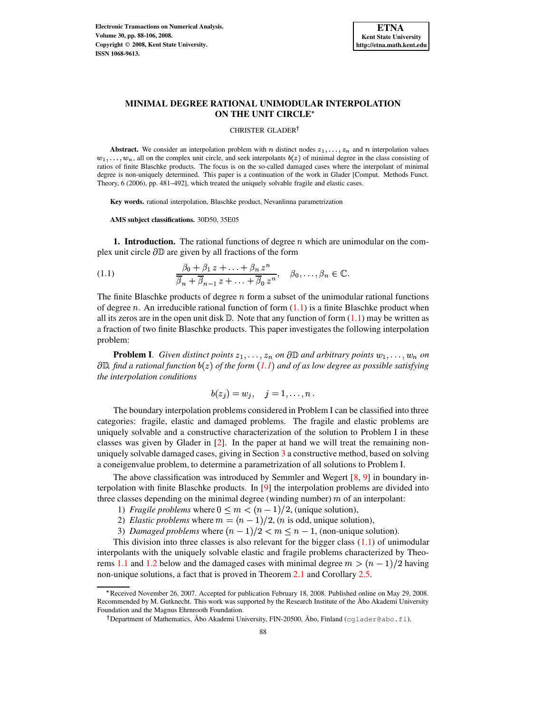

# **MINIMAL DEGREE RATIONAL UNIMODULAR INTERPOLATION ON THE UNIT CIRCLE**

CHRISTER GLADER

**Abstract.** We consider an interpolation problem with n distinct nodes  $z_1, \ldots, z_n$  and n interpolation values  $w_1, \ldots, w_n$ , all on the complex unit circle, and seek interpolants  $b(z)$  of minimal degree in the class consisting of ratios of finite Blaschke products. The focus is on the so-called damaged cases where the interpolant of minimal degree is non-uniquely determined. This paper is a continuation of the work in Glader [Comput. Methods Funct. Theory, 6 (2006), pp. 481–492], which treated the uniquely solvable fragile and elastic cases.

**Key words.** rational interpolation, Blaschke product, Nevanlinna parametrization

**AMS subject classifications.** 30D50, 35E05

**1. Introduction.** The rational functions of degree  $n$  which are unimodular on the complex unit circle  $\partial \mathbb{D}$  are given by all fractions of the form

<span id="page-0-0"></span>(1.1) 
$$
\frac{\beta_0 + \beta_1 z + \ldots + \beta_n z^n}{\overline{\beta}_n + \overline{\beta}_{n-1} z + \ldots + \overline{\beta}_0 z^n}, \quad \beta_0, \ldots, \beta_n \in \mathbb{C}.
$$

The finite Blaschke products of degree  $n$  form a subset of the unimodular rational functions of degree  $n$ . An irreducible rational function of form  $(1.1)$  is a finite Blaschke product when all its zeros are in the open unit disk  $\mathbb{D}$ . Note that any function of form  $(1.1)$  may be written as a fraction of two finite Blaschke products. This paper investigates the following interpolation problem:

**Problem I**. *Given distinct points*  $z_1, \ldots, z_n$  *on*  $\partial \mathbb{D}$  *and arbitrary points*  $w_1, \ldots, w_n$  *on*  $\partial \mathbb{D}$ , find a rational function  $b(z)$  of the form  $(1.1)$  $(1.1)$  $(1.1)$  and of as low degree as possible satisfying *the interpolation conditions*

$$
b(z_j) = w_j, \quad j = 1, \ldots, n.
$$

The boundary interpolation problems considered in Problem I can be classified into three categories: fragile, elastic and damaged problems. The fragile and elastic problems are uniquely solvable and a constructive characterization of the solution to Problem I in these classes was given by Glader in  $[2]$ . In the paper at hand we will treat the remaining nonuniquely solvable damaged cases, giving in Section [3](#page-8-0) a constructive method, based on solving a coneigenvalue problem, to determine a parametrization of all solutions to Problem I.

The above classification was introduced by Semmler and Wegert [\[8,](#page-18-1) [9\]](#page-18-2) in boundary interpolation with finite Blaschke products. In [\[9\]](#page-18-2) the interpolation problems are divided into three classes depending on the minimal degree (winding number)  $m$  of an interpolant:

- 1) *Fragile problems* where  $0 \le m < (n-1)/2$ , (unique solution),
- 2) *Elastic problems* where  $m = (n 1)/2$ ,  $(n$  is odd, unique solution),
- 3) *Damaged problems* where  $(n-1)/2 < m \leq n-1$ , (non-unique solution).

This division into three classes is also relevant for the bigger class  $(1.1)$  of unimodular interpolants with the uniquely solvable elastic and fragile problems characterized by Theo-rems [1.1](#page-2-0) and [1.2](#page-2-1) below and the damaged cases with minimal degree  $m > (n-1)/2$  having non-unique solutions, a fact that is proved in Theorem [2.1](#page-2-2) and Corollary [2.5.](#page-7-0)

<sup>T</sup> Received November 26, 2007. Accepted for publication February 18, 2008. Published online on May 29, 2008. Recommended by M. Gutknecht. This work was supported by the Research Institute of the Åbo Akademi University Foundation and the Magnus Ehrnrooth Foundation.

<sup>&</sup>lt;sup>†</sup> Department of Mathematics, Åbo Akademi University, FIN-20500, Åbo, Finland (cglader@abo.fi).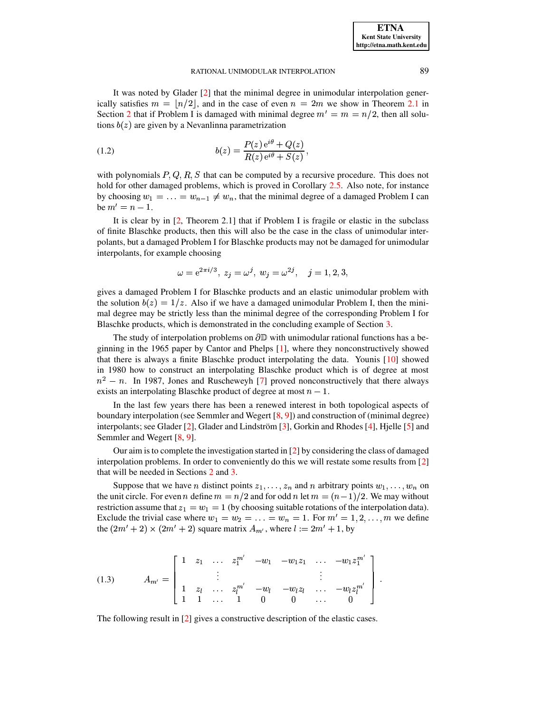It was noted by Glader [\[2\]](#page-18-0) that the minimal degree in unimodular interpolation generically satisfies  $m = \lfloor n/2 \rfloor$ , and in the case of even  $n = 2m$  we show in Theorem [2.1](#page-2-2) in Section [2](#page-2-3) that if Problem I is damaged with minimal degree  $m' = m = n/2$ , then all solutions  $b(z)$  are given by a Nevanlinna parametrization

<span id="page-1-0"></span>(1.2) 
$$
b(z) = \frac{P(z) e^{i\theta} + Q(z)}{R(z) e^{i\theta} + S(z)},
$$

with polynomials  $P, Q, R, S$  that can be computed by a recursive procedure. This does not hold for other damaged problems, which is proved in Corollary [2.5.](#page-7-0) Also note, for instance by choosing  $w_1 = \ldots = w_{n-1} \neq w_n$ , that the minimal degree of a damaged Problem I can be  $m' = n - 1$ .

It is clear by in [\[2,](#page-18-0) Theorem 2.1] that if Problem I is fragile or elastic in the subclass of finite Blaschke products, then this will also be the case in the class of unimodular interpolants, but a damaged Problem I for Blaschke products may not be damaged for unimodular interpolants, for example choosing

$$
\omega = e^{2\pi i/3}, z_i = \omega^j, w_i = \omega^{2j}, j = 1, 2, 3,
$$

gives a damaged Problem I for Blaschke products and an elastic unimodular problem with the solution  $b(z) = 1/z$ . Also if we have a damaged unimodular Problem I, then the minimal degree may be strictly less than the minimal degree of the corresponding Problem I for Blaschke products, which is demonstrated in the concluding example of Section [3.](#page-8-0)

The study of interpolation problems on  $\partial\mathbb{D}$  with unimodular rational functions has a beginning in the 1965 paper by Cantor and Phelps [\[1\]](#page-18-3), where they nonconstructively showed that there is always a finite Blaschke product interpolating the data. Younis [\[10\]](#page-18-4) showed in 1980 how to construct an interpolating Blaschke product which is of degree at most  $n^2 - n$ . In 1987, Jones and Ruscheweyh [\[7\]](#page-18-5) proved nonconstructively that there always exists an interpolating Blaschke product of degree at most  $n-1$ .

In the last few years there has been a renewed interest in both topological aspects of boundary interpolation (see Semmler and Wegert [\[8,](#page-18-1) [9\]](#page-18-2)) and construction of (minimal degree) interpolants; see Glader  $[2]$ , Glader and Lindström  $[3]$ , Gorkin and Rhodes  $[4]$ , Hjelle  $[5]$  and Semmler and Wegert [\[8,](#page-18-1) [9\]](#page-18-2).

Our aim is to complete the investigation started in [\[2\]](#page-18-0) by considering the class of damaged interpolation problems. In order to conveniently do this we will restate some results from [\[2\]](#page-18-0) that will be needed in Sections [2](#page-2-3) and [3.](#page-8-0)

Suppose that we have *n* distinct points  $z_1, \ldots, z_n$  and *n* arbitrary points  $w_1, \ldots, w_n$  on the unit circle. For even n define  $m = n/2$  and for odd n let  $m = (n-1)/2$ . We may without restriction assume that  $z_1 = w_1 = 1$  (by choosing suitable rotations of the interpolation data). Exclude the trivial case where  $w_1 = w_2 = \ldots = w_n = 1$ . For  $m' = 1, 2, \ldots, m$  we define the  $(2m'+2) \times (2m'+2)$  square matrix  $A_{m'}$ , where  $l := 2m'+1$ , by

<span id="page-1-1"></span>
$$
(1.3) \quad A_{m'} = \left[ \begin{array}{ccccccccc} 1 & z_1 & \ldots & z_1^{m'} & -w_1 & -w_1 z_1 & \ldots & -w_1 z_1^{m'} \\ & \vdots & & & & \vdots & & \\ 1 & z_l & \ldots & z_l^{m'} & -w_l & -w_l z_l & \ldots & -w_l z_l^{m'} \\ 1 & 1 & \ldots & 1 & 0 & 0 & \ldots & 0 \end{array} \right].
$$

The following result in [\[2\]](#page-18-0) gives a constructive description of the elastic cases.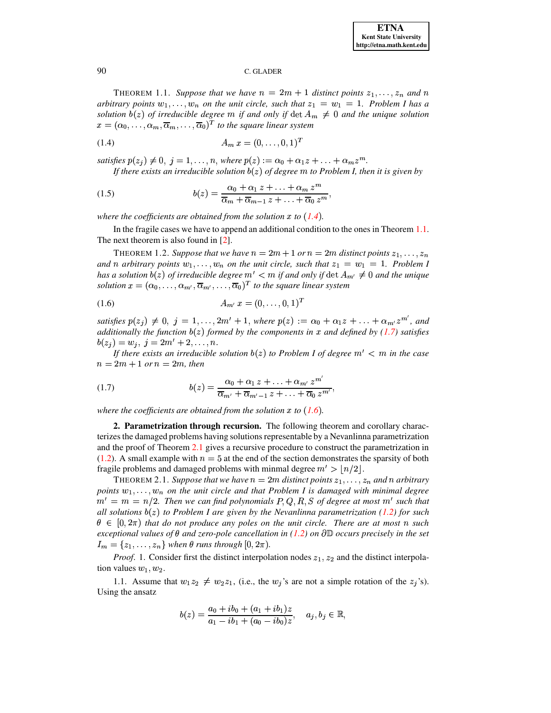<span id="page-2-0"></span>**THEOREM** 1.1. Suppose that we have  $n = 2m + 1$  distinct points  $z_1, \ldots, z_n$  and n *arbitrary points*  $w_1, \ldots, w_n$  *on the unit circle, such that*  $z_1 = w_1 = 1$ *. Problem I has a solution*  $b(z)$  *of irreducible degree*  $m$  *if and only if*  $\det A_m \neq 0$  *and the unique solution*  $x = (\alpha_0, \ldots, \alpha_m, \overline{\alpha}_m, \ldots, \overline{\alpha}_0)^T$  to the square linear system

<span id="page-2-4"></span>
$$
(1.4) \t\t A_m x = (0, \dots, 0, 1)^T
$$

satisfies  $p(z_j) \neq 0, j = 1, ..., n$ , where  $p(z) := \alpha_0 + \alpha_1 z + ... + \alpha_m z^m$ . *If* there exists an *irreducible solution*  $b(z)$  *of degree*  $m$  *to Problem I*, *then it is given by* 

<span id="page-2-7"></span>(1.5) 
$$
b(z) = \frac{\alpha_0 + \alpha_1 z + \ldots + \alpha_m z^m}{\overline{\alpha}_m + \overline{\alpha}_{m-1} z + \ldots + \overline{\alpha}_0 z^m},
$$

where the coefficients are obtained from the solution  $x$  to  $(1.4)$  $(1.4)$  $(1.4)$ .

<span id="page-2-1"></span>In the fragile cases we have to append an additional condition to the ones in Theorem [1.1.](#page-2-0) The next theorem is also found in [\[2\]](#page-18-0).

THEOREM 1.2. *Suppose that we have*  $n = 2m + 1$  *or*  $n = 2m$  *distinct points*  $z_1, \ldots, z_n$ *and n arbitrary points*  $w_1, \ldots, w_n$  *on the unit circle, such that*  $z_1 = w_1 = 1$ *. Problem I*  $h$ as a solution  $b(z)$  of irreducible degree  $m' < m$  if and only if  $\det A_{m'} \neq 0$  and the unique  $solution x = (\alpha_0, \ldots, \alpha_{m'}, \overline{\alpha}_{m'}, \ldots, \overline{\alpha}_0)^T$  to the square linear system

<span id="page-2-6"></span>
$$
(1.6) \t A_{m'} x = (0, \ldots, 0, 1)^T
$$

satisfies  $p(z_j) \neq 0$ ,  $j = 1, \ldots, 2m' + 1$ , where  $p(z) := \alpha_0 + \alpha_1 z + \ldots + \alpha_{m'} z^{m'}$ , and *additionally* the function  $b(z)$  formed by the components in x and defined by [\(1.7\)](#page-2-5) satisfies  $b(z_i) = w_i, \; j = 2m'+2,\ldots,n.$ 

*If* there exists an irreducible solution  $b(z)$  to Problem *I* of degree  $m' < m$  in the case  $n = 2m + 1$  or  $n = 2m$ , then

<span id="page-2-5"></span>(1.7) 
$$
b(z) = \frac{\alpha_0 + \alpha_1 z + \ldots + \alpha_{m'} z^{m'}}{\overline{\alpha}_{m'} + \overline{\alpha}_{m'-1} z + \ldots + \overline{\alpha}_0 z^{m'}},
$$

where the coefficients are obtained from the solution  $x$  to  $(1.6)$  $(1.6)$  $(1.6)$ .

<span id="page-2-3"></span>**2. Parametrization through recursion.** The following theorem and corollary characterizes the damaged problems having solutionsrepresentable by a Nevanlinna parametrization and the proof of Theorem [2.1](#page-2-2) gives a recursive procedure to construct the parametrization in [\(1.2\)](#page-1-0). A small example with  $n = 5$  at the end of the section demonstrates the sparsity of both fragile problems and damaged problems with minmal degree  $m' > \lfloor n/2 \rfloor$ .

<span id="page-2-2"></span>**THEOREM 2.1. Suppose that we have**  $n = 2m$  **distinct points**  $z_1, \ldots, z_n$  **and**  $n$  **arbitrary**  $p$ *oints*  $w_1, \ldots, w_n$  *on the unit circle and that Problem I is damaged with minimal degree*  $m' = m = n/2$ . Then we can find polynomials  $P, Q, R, S$  of degree at most  $m'$  such that *all solutions*  $b(z)$  *to Problem I* are given by the *Nevanlinna* parametrization [\(1.2\)](#page-1-0) for such  $\theta \in [0, 2\pi)$  that do not produce any poles on the unit circle. There are at most n such  $e$ xceptional values of  $\theta$  and zero-pole cancellation in [\(1.2\)](#page-1-0) on  $\partial \mathbb{D}$  occurs precisely in the set  $I_m = \{z_1, \ldots, z_n\}$  when  $\theta$  runs through  $[0, 2\pi)$ .

*Proof.* 1. Consider first the distinct interpolation nodes  $z_1, z_2$  and the distinct interpolation values  $w_1, w_2$ .

1.1. Assume that  $w_1 z_2 \neq w_2 z_1$ , (i.e., the  $w_j$ 's are not a simple rotation of the  $z_j$ 's). Using the ansatz

$$
b(z) = \frac{a_0 + ib_0 + (a_1 + ib_1)z}{a_1 - ib_1 + (a_0 - ib_0)z}, \quad a_j, b_j \in \mathbb{R},
$$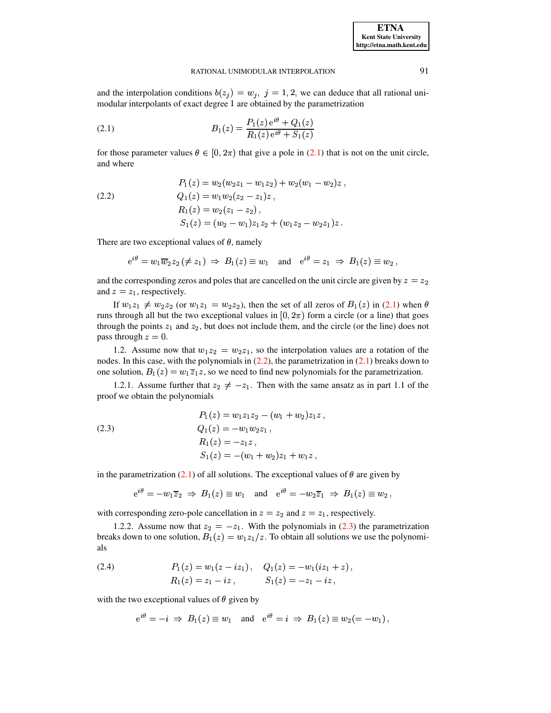: "

# RATIONAL UNIMODULAR INTERPOLATION 91

and the interpolation conditions  $b(z_j) = w_j$ ,  $j = 1, 2$ , we can deduce that all rational unimodular interpolants of exact degree 1 are obtained by the parametrization

<span id="page-3-0"></span>(2.1) 
$$
B_1(z) = \frac{P_1(z) e^{i\theta} + Q_1(z)}{R_1(z) e^{i\theta} + S_1(z)}
$$

for those parameter values  $\theta \in [0, 2\pi)$  that give a pole in [\(2.1\)](#page-3-0) that is not on the unit circle, and where

<span id="page-3-1"></span>(2.2) 
$$
P_1(z) = w_2(w_2z_1 - w_1z_2) + w_2(w_1 - w_2)z,
$$

$$
Q_1(z) = w_1w_2(z_2 - z_1)z,
$$

$$
R_1(z) = w_2(z_1 - z_2),
$$

$$
S_1(z) = (w_2 - w_1)z_1z_2 + (w_1z_2 - w_2z_1)z.
$$

There are two exceptional values of  $\theta$ , namely

 $\sim$   $\sim$   $\sim$ 

$$
\mathrm{e}^{\mathrm{i}\theta}=w_1\overline{w}_2z_2\,(\neq z_1)\ \Rightarrow\ B_1(z)\equiv w_1\quad\text{and}\quad \mathrm{e}^{\mathrm{i}\theta}=z_1\ \Rightarrow\ B_1(z)\equiv w_2\,,
$$

and the corresponding zeros and poles that are cancelled on the unit circle are given by  $z=z_2$ and  $z = z_1$ , respectively.

If  $w_1z_1 \neq w_2z_2$  (or  $w_1z_1 = w_2z_2$ ), then the set of all zeros of  $B_1(z)$  in [\(2.1\)](#page-3-0) when  $\theta$ runs through all but the two exceptional values in  $[0, 2\pi)$  form a circle (or a line) that goes through the points  $z_1$  and  $z_2$ , but does not include them, and the circle (or the line) does not pass through  $z = 0$ .

1.2. Assume now that  $w_1 z_2 = w_2 z_1$ , so the interpolation values are a rotation of the nodes. In this case, with the polynomials in  $(2.2)$ , the parametrization in  $(2.1)$  breaks down to one solution,  $B_1(z) = w_1 \overline{z}_1 z$ , so we need to find new polynomials for the parametrization.

1.2.1. Assume further that  $z_2 \neq -z_1$ . Then with the same ansatz as in part 1.1 of the proof we obtain the polynomials

<span id="page-3-2"></span>(2.3)  
\n
$$
P_1(z) = w_1 z_1 z_2 - (w_1 + w_2) z_1 z,
$$
\n
$$
Q_1(z) = -w_1 w_2 z_1,
$$
\n
$$
R_1(z) = -z_1 z,
$$
\n
$$
S_1(z) = -(w_1 + w_2) z_1 + w_1 z,
$$

in the parametrization [\(2.1\)](#page-3-0) of all solutions. The exceptional values of  $\theta$  are given by

$$
e^{i\theta} = -w_1\overline{z}_2 \implies B_1(z) \equiv w_1
$$
 and  $e^{i\theta} = -w_2\overline{z}_1 \implies B_1(z) \equiv w_2$ ,

with corresponding zero-pole cancellation in  $z = z_2$  and  $z = z_1$ , respectively.

1.2.2. Assume now that  $z_2 = -z_1$ . With the polynomials in [\(2.3\)](#page-3-2) the parametrization breaks down to one solution,  $B_1(z) = w_1 z_1/z$ . To obtain all solutions we use the polynomials

<span id="page-3-3"></span>(2.4) 
$$
P_1(z) = w_1(z - iz_1), \quad Q_1(z) = -w_1(iz_1 + z),
$$

$$
R_1(z) = z_1 - iz, \quad S_1(z) = -z_1 - iz,
$$

with the two exceptional values of  $\theta$  given by

$$
e^{i\theta} = -i \Rightarrow B_1(z) \equiv w_1
$$
 and  $e^{i\theta} = i \Rightarrow B_1(z) \equiv w_2 (= -w_1)$ ,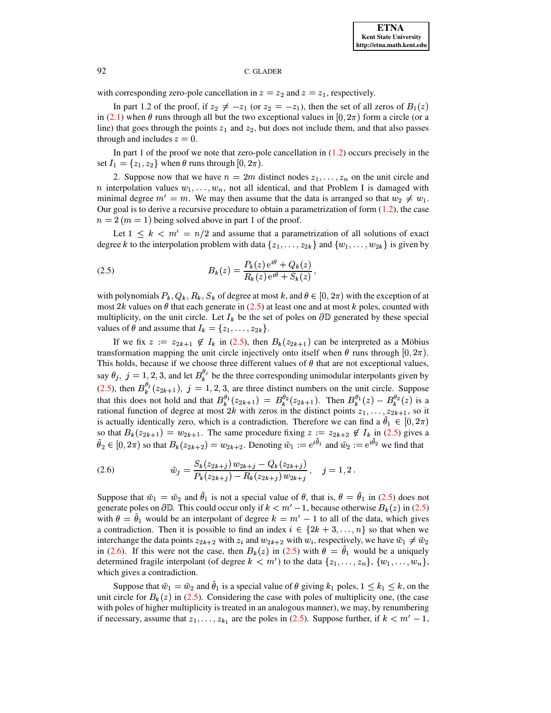with corresponding zero-pole cancellation in  $z = z_2$  and  $z = z_1$ , respectively.

In part 1.2 of the proof, if  $z_2 \neq -z_1$  (or  $z_2 = -z_1$ ), then the set of all zeros of  $B_1(z)$ in [\(2.1\)](#page-3-0) when  $\theta$  runs through all but the two exceptional values in [0,  $2\pi$ ) form a circle (or a line) that goes through the points  $z_1$  and  $z_2$ , but does not include them, and that also passes through and includes  $z = 0$ .

In part 1 of the proof we note that zero-pole cancellation in  $(1.2)$  occurs precisely in the set  $I_1 = \{z_1, z_2\}$  when  $\theta$  runs through  $[0, 2\pi)$ .

2. Suppose now that we have  $n = 2m$  distinct nodes  $z_1, \ldots, z_n$  on the unit circle and *n* interpolation values  $w_1, \ldots, w_n$ , not all identical, and that Problem I is damaged with minimal degree  $m' = m$ . We may then assume that the data is arranged so that  $w_2 \neq w_1$ . Our goal is to derive a recursive procedure to obtain a parametrization of form  $(1.2)$ , the case  $n=2$  ( $m=1$ ) being solved above in part 1 of the proof.

Let  $1 \leq k \leq m' = n/2$  and assume that a parametrization of all solutions of exact degree k to the interpolation problem with data  $\{z_1, \ldots, z_{2k}\}\$  and  $\{w_1, \ldots, w_{2k}\}\$  is given by

<span id="page-4-0"></span>(2.5) 
$$
B_k(z) = \frac{P_k(z) e^{i\theta} + Q_k(z)}{R_k(z) e^{i\theta} + S_k(z)},
$$

with polynomials  $P_k, Q_k, R_k, S_k$  of degree at most k, and  $\theta \in [0, 2\pi)$  with the exception of at most 2k values on  $\theta$  that each generate in [\(2.5\)](#page-4-0) at least one and at most k poles, counted with multiplicity, on the unit circle. Let  $I_k$  be the set of poles on  $\partial \mathbb{D}$  generated by these special values of  $\theta$  and assume that  $I_k = \{z_1, \ldots, z_{2k}\}.$ 

If we fix  $z := z_{2k+1} \notin I_k$  in [\(2.5\)](#page-4-0), then  $B_k(z_{2k+1})$  can be interpreted as a Möbius transformation mapping the unit circle injectively onto itself when  $\theta$  runs through  $[0, 2\pi)$ . This holds, because if we choose three different values of  $\theta$  that are not exceptional values, say  $\theta_j$ ,  $j = 1, 2, 3$ , and let  $B_k^{\theta_j}$  be the three corresponding unimodular interpolants given by [\(2.5\)](#page-4-0), then  $B_k^{\theta_j}(z_{2k+1}), j = 1,2,3$ , are three distinct numbers on the unit circle. Suppose that this does not hold and that  $B_k^{\theta_1}(z_{2k+1}) = B_k^{\theta_2}(z_{2k+1})$ . Then  $B_k^{\theta_1}(z) - B_k^{\theta_2}(z)$  is a rational function of degree at most 2k with zeros in the distinct points  $z_1, \ldots, z_{2k+1}$ , so it is actually identically zero, which is a contradiction. Therefore we can find a  $\theta_1 \in [0, 2\pi)$ so that  $B_k(z_{2k+1}) = w_{2k+1}$ . The same procedure fixing  $z := z_{2k+2} \notin I_k$  in [\(2.5\)](#page-4-0) gives a  $\theta_2 \in [0, 2\pi)$  so that  $B_k(z_{2k+2}) = w_{2k+2}$ . Denoting  $\tilde{w}_1 := e^{i\theta_1}$  and  $\tilde{w}_2 := e^{i\theta_2}$  we find that

<span id="page-4-1"></span>(2.6) 
$$
\tilde{w}_j = \frac{S_k(z_{2k+j}) w_{2k+j} - Q_k(z_{2k+j})}{P_k(z_{2k+j}) - R_k(z_{2k+j}) w_{2k+j}}, \quad j = 1, 2.
$$

Suppose that  $\tilde{w}_1 = \tilde{w}_2$  and  $\theta_1$  is not a special value of  $\theta$ , that is,  $\theta = \theta_1$  in [\(2.5\)](#page-4-0) does not generate poles on  $\partial \mathbb{D}$ . This could occur only if  $k < m' - 1$ , because otherwise  $B_k(z)$  in [\(2.5\)](#page-4-0) with  $\theta = \theta_1$  would be an interpolant of degree  $k = m' - 1$  to all of the data, which gives a contradiction. Then it is possible to find an index  $i \in \{2k+3,\ldots,n\}$  so that when we interchange the data points  $z_{2k+2}$  with  $z_i$  and  $w_{2k+2}$  with  $w_i$ , respectively, we have  $\tilde{w}_1 \neq \tilde{w}_2$ in [\(2.6\)](#page-4-1). If this were not the case, then  $B_k(z)$  in [\(2.5\)](#page-4-0) with  $\theta = \theta_1$  would be a uniquely determined fragile interpolant (of degree  $k < m'$ ) to the data  $\{z_1, \ldots, z_n\}$ ,  $\{w_1, \ldots, w_n\}$ , which gives a contradiction.

Suppose that  $\tilde{w}_1 = \tilde{w}_2$  and  $\theta_1$  is a special value of  $\theta$  giving  $k_1$  poles,  $1 \leq k_1 \leq k$ , on the unit circle for  $B_k(z)$  in [\(2.5\)](#page-4-0). Considering the case with poles of multiplicity one, (the case with poles of higher multiplicity is treated in an analogous manner), we may, by renumbering if necessary, assume that  $z_1, \ldots, z_{k_1}$  are the poles in [\(2.5\)](#page-4-0). Suppose further, if  $k < m' - 1$ ,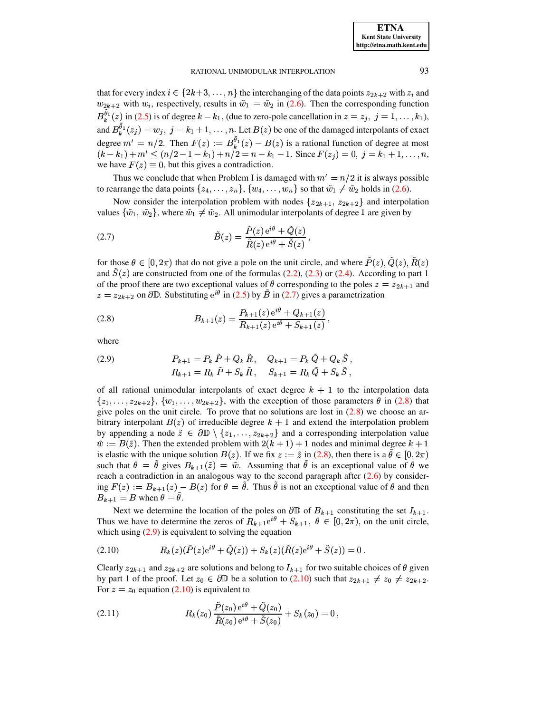that for every index  $i \in \{2k+3,\ldots,n\}$  the interchanging of the data points  $z_{2k+2}$  with  $z_i$  and  $w_{2k+2}$  with  $w_i$ , respectively, results in  $\tilde{w}_1 = \tilde{w}_2$  in (2.6). Then the corresponding function  $B_k^{\tilde{\theta}_1}(z)$  in (2.5) is of degree  $k - k_1$ , (due to zero-pole cancellation in  $z = z_j$ ,  $j = 1, ..., k_1$ ), and  $B_k^{\tilde{\theta}_1}(z_j) = w_j$ ,  $j = k_1 + 1, ..., n$ . Let  $B(z)$  be one of the damaged interpolants of exact degree  $m' = n/2$ . Then  $F(z) := B_k^{\tilde{\theta}_1}(z) - B(z)$  is a rational function of degree at most  $(k-k_1) + m' \le (n/2 - 1 - k_1) + n/2 = n - k_1 - 1$ . Since  $F(z_i) = 0$ ,  $j = k_1 + 1, ..., n$ , we have  $F(z) \equiv 0$ , but this gives a contradiction.

Thus we conclude that when Problem I is damaged with  $m' = n/2$  it is always possible to rearrange the data points  $\{z_4, \ldots, z_n\}$ ,  $\{w_4, \ldots, w_n\}$  so that  $\tilde{w}_1 \neq \tilde{w}_2$  holds in (2.6).

Now consider the interpolation problem with nodes  $\{z_{2k+1}, z_{2k+2}\}\$  and interpolation values  $\{\tilde{w}_1, \tilde{w}_2\}$ , where  $\tilde{w}_1 \neq \tilde{w}_2$ . All unimodular interpolants of degree 1 are given by

<span id="page-5-0"></span>(2.7) 
$$
\tilde{B}(z) = \frac{\tilde{P}(z) e^{i\theta} + \tilde{Q}(z)}{\tilde{R}(z) e^{i\theta} + \tilde{S}(z)}
$$

for those  $\theta \in [0, 2\pi)$  that do not give a pole on the unit circle, and where  $\tilde{P}(z)$ ,  $\tilde{Q}(z)$ ,  $\tilde{R}(z)$ and  $S(z)$  are constructed from one of the formulas (2.2), (2.3) or (2.4). According to part 1 of the proof there are two exceptional values of  $\theta$  corresponding to the poles  $z = z_{2k+1}$  and  $z = z_{2k+2}$  on  $\partial \mathbb{D}$ . Substituting  $e^{i\theta}$  in (2.5) by  $\tilde{B}$  in (2.7) gives a parametrization

<span id="page-5-1"></span>(2.8) 
$$
B_{k+1}(z) = \frac{P_{k+1}(z) e^{i\theta} + Q_{k+1}(z)}{R_{k+1}(z) e^{i\theta} + S_{k+1}(z)},
$$

where

<span id="page-5-2"></span>(2.9) 
$$
P_{k+1} = P_k P + Q_k R, \quad Q_{k+1} = P_k Q + Q_k S,
$$

$$
R_{k+1} = R_k \tilde{P} + S_k \tilde{R}, \quad S_{k+1} = R_k \tilde{Q} + S_k \tilde{S},
$$

of all rational unimodular interpolants of exact degree  $k + 1$  to the interpolation data  $\{z_1,\ldots,z_{2k+2}\}\$ ,  $\{w_1,\ldots,w_{2k+2}\}\$ , with the exception of those parameters  $\theta$  in (2.8) that give poles on the unit circle. To prove that no solutions are lost in  $(2.8)$  we choose an arbitrary interpolant  $B(z)$  of irreducible degree  $k + 1$  and extend the interpolation problem by appending a node  $\tilde{z} \in \partial \mathbb{D} \setminus \{z_1, \ldots, z_{2k+2}\}\$  and a corresponding interpolation value  $\tilde{w} := B(\tilde{z})$ . Then the extended problem with  $2(k+1) + 1$  nodes and minimal degree  $k+1$ is elastic with the unique solution  $B(z)$ . If we fix  $z := \tilde{z}$  in (2.8), then there is a  $\theta \in [0, 2\pi)$ such that  $\theta = \theta$  gives  $B_{k+1}(\tilde{z}) = \tilde{w}$ . Assuming that  $\theta$  is an exceptional value of  $\theta$  we reach a contradiction in an analogous way to the second paragraph after  $(2.6)$  by considering  $F(z) := B_{k+1}(z) - B(z)$  for  $\theta = \theta$ . Thus  $\theta$  is not an exceptional value of  $\theta$  and then  $B_{k+1} \equiv B$  when  $\theta = \theta$ .

Next we determine the location of the poles on  $\partial \mathbb{D}$  of  $B_{k+1}$  constituting the set  $I_{k+1}$ . Thus we have to determine the zeros of  $R_{k+1}e^{i\theta} + S_{k+1}$ ,  $\theta \in [0, 2\pi)$ , on the unit circle, which using  $(2.9)$  is equivalent to solving the equation

<span id="page-5-3"></span>(2.10) 
$$
R_k(z)(\tilde{P}(z)e^{i\theta} + \tilde{Q}(z)) + S_k(z)(\tilde{R}(z)e^{i\theta} + \tilde{S}(z)) = 0.
$$

Clearly  $z_{2k+1}$  and  $z_{2k+2}$  are solutions and belong to  $I_{k+1}$  for two suitable choices of  $\theta$  given by part 1 of the proof. Let  $z_0 \in \partial \mathbb{D}$  be a solution to (2.10) such that  $z_{2k+1} \neq z_0 \neq z_{2k+2}$ . For  $z = z_0$  equation (2.10) is equivalent to

<span id="page-5-4"></span>(2.11) 
$$
R_k(z_0) \frac{P(z_0) e^{i\theta} + Q(z_0)}{\tilde{R}(z_0) e^{i\theta} + \tilde{S}(z_0)} + S_k(z_0) = 0,
$$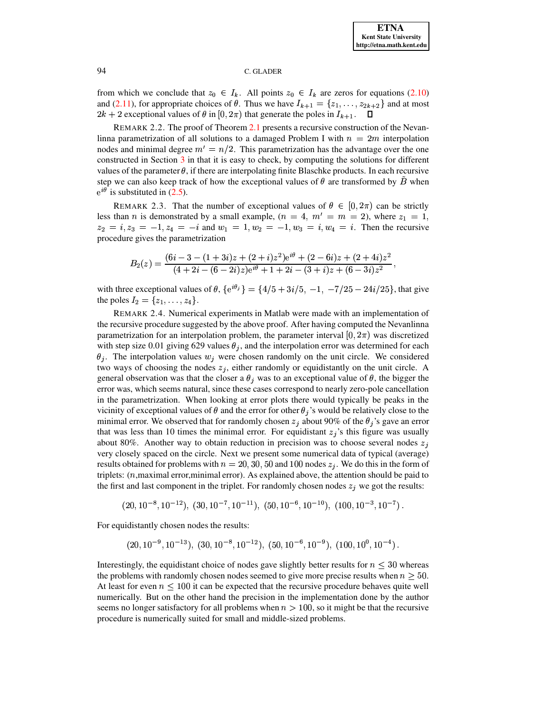

from which we conclude that  $z_0 \in I_k$ . All points  $z_0 \in I_k$  are zeros for equations (2.10) and (2.11), for appropriate choices of  $\theta$ . Thus we have  $I_{k+1} = \{z_1, \ldots, z_{2k+2}\}\$  and at most  $2k + 2$  exceptional values of  $\theta$  in  $[0, 2\pi)$  that generate the poles in  $I_{k+1}$ .  $\Box$ 

REMARK 2.2. The proof of Theorem 2.1 presents a recursive construction of the Nevanlinna parametrization of all solutions to a damaged Problem I with  $n = 2m$  interpolation nodes and minimal degree  $m' = n/2$ . This parametrization has the advantage over the one constructed in Section 3 in that it is easy to check, by computing the solutions for different values of the parameter  $\theta$ , if there are interpolating finite Blaschke products. In each recursive step we can also keep track of how the exceptional values of  $\theta$  are transformed by B when  $e^{i\theta}$  is substituted in (2.5).

REMARK 2.3. That the number of exceptional values of  $\theta \in [0, 2\pi)$  can be strictly less than *n* is demonstrated by a small example,  $(n = 4, m' = m = 2)$ , where  $z_1 = 1$ ,  $z_2 = i, z_3 = -1, z_4 = -i$  and  $w_1 = 1, w_2 = -1, w_3 = i, w_4 = i$ . Then the recursive procedure gives the parametrization

$$
B_2(z)=\frac{(6i-3-(1+3i)z+(2+i)z^2)e^{i\theta}+(2-6i)z+(2+4i)z^2}{(4+2i-(6-2i)z)e^{i\theta}+1+2i-(3+i)z+(6-3i)z^2}
$$

with three exceptional values of  $\theta$ ,  ${e^{i\theta_j}} = {4/5 + 3i/5, -1, -7/25 - 24i/25}$ , that give the poles  $I_2 = \{z_1, \ldots, z_4\}.$ 

REMARK 2.4. Numerical experiments in Matlab were made with an implementation of the recursive procedure suggested by the above proof. After having computed the Nevanlinna parametrization for an interpolation problem, the parameter interval  $[0, 2\pi)$  was discretized with step size 0.01 giving 629 values  $\theta_j$ , and the interpolation error was determined for each  $\theta_i$ . The interpolation values  $w_i$  were chosen randomly on the unit circle. We considered two ways of choosing the nodes  $z_i$ , either randomly or equidistantly on the unit circle. A general observation was that the closer a  $\theta_i$  was to an exceptional value of  $\theta$ , the bigger the error was, which seems natural, since these cases correspond to nearly zero-pole cancellation in the parametrization. When looking at error plots there would typically be peaks in the vicinity of exceptional values of  $\theta$  and the error for other  $\theta_j$ 's would be relatively close to the minimal error. We observed that for randomly chosen  $z_i$  about 90% of the  $\theta_i$ 's gave an error that was less than 10 times the minimal error. For equidistant  $z_i$ 's this figure was usually about 80%. Another way to obtain reduction in precision was to choose several nodes  $z_i$ very closely spaced on the circle. Next we present some numerical data of typical (average) results obtained for problems with  $n = 20, 30, 50$  and 100 nodes  $z_j$ . We do this in the form of triplets:  $(n,$ maximal error, minimal error). As explained above, the attention should be paid to the first and last component in the triplet. For randomly chosen nodes  $z_i$  we got the results:

$$
(20, 10^{-8}, 10^{-12}), (30, 10^{-7}, 10^{-11}), (50, 10^{-6}, 10^{-10}), (100, 10^{-3}, 10^{-7})
$$

For equidistantly chosen nodes the results:

$$
(20, 10^{-9}, 10^{-13}), (30, 10^{-8}, 10^{-12}), (50, 10^{-6}, 10^{-9}), (100, 10^{0}, 10^{-4}).
$$

Interestingly, the equidistant choice of nodes gave slightly better results for  $n \leq 30$  whereas the problems with randomly chosen nodes seemed to give more precise results when  $n \geq 50$ . At least for even  $n \leq 100$  it can be expected that the recursive procedure behaves quite well numerically. But on the other hand the precision in the implementation done by the author seems no longer satisfactory for all problems when  $n > 100$ , so it might be that the recursive procedure is numerically suited for small and middle-sized problems.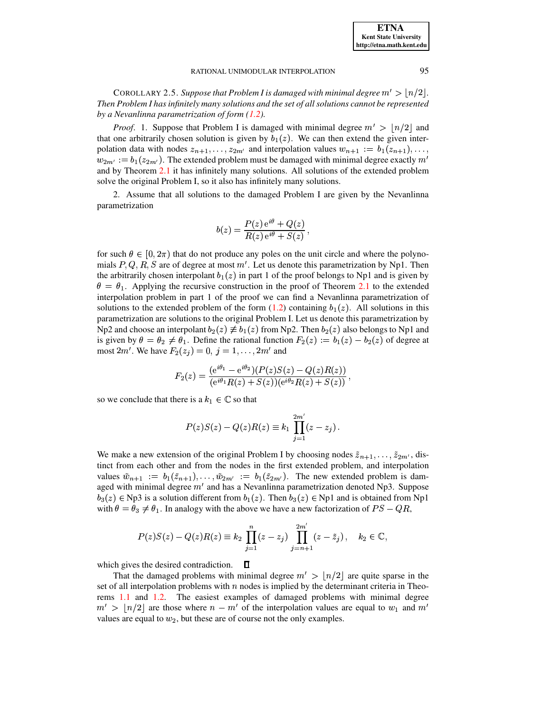<span id="page-7-0"></span>COROLLARY 2.5. *Suppose that Problem I is damaged with minimal degree*  $m' > |n/2|$ *. Then Problem I has infinitely many solutions and the set of all solutions cannot be represented by a Nevanlinna parametrization of form [\(1.2\)](#page-1-0).*

*Proof.* 1. Suppose that Problem I is damaged with minimal degree  $m' > |n/2|$  and that one arbitrarily chosen solution is given by  $b_1(z)$ . We can then extend the given interpolation data with nodes  $z_{n+1}, \ldots, z_{2m'}$  and interpolation values  $w_{n+1} := b_1(z_{n+1}), \ldots,$  $w_{2m'} := b_1(z_{2m'})$ . The extended problem must be damaged with minimal degree exactly  $m'$ and by Theorem [2.1](#page-2-2) it has infinitely many solutions. All solutions of the extended problem solve the original Problem I, so it also has infinitely many solutions.

2. Assume that all solutions to the damaged Problem I are given by the Nevanlinna parametrization

$$
b(z) = \frac{P(z) e^{i\theta} + Q(z)}{R(z) e^{i\theta} + S(z)},
$$

for such  $\theta \in [0, 2\pi)$  that do not produce any poles on the unit circle and where the polynomials  $P, Q, R, S$  are of degree at most m'. Let us denote this parametrization by Np1. Then the arbitrarily chosen interpolant  $b_1(z)$  in part 1 of the proof belongs to Np1 and is given by  $\theta = \theta_1$ . Applying the recursive construction in the proof of Theorem [2.1](#page-2-2) to the extended interpolation problem in part 1 of the proof we can find a Nevanlinna parametrization of solutions to the extended problem of the form  $(1.2)$  containing  $b_1(z)$ . All solutions in this parametrization are solutions to the original Problem I. Let us denote this parametrization by Np2 and choose an interpolant  $b_2(z) \not\equiv b_1(z)$  from Np2. Then  $b_2(z)$  also belongs to Np1 and is given by  $\theta = \theta_2 \neq \theta_1$ . Define the rational function  $F_2(z) := b_1(z) - b_2(z)$  of degree at most  $2m'$ . We have  $F_2(z_j) = 0$ ,  $j = 1, \ldots, 2m'$  and

$$
F_2(z)=\frac{({\rm e}^{i\theta_1}-{\rm e}^{i\theta_2})(P(z)S(z)-Q(z)R(z))}{({\rm e}^{i\theta_1}R(z)+S(z))({\rm e}^{i\theta_2}R(z)+S(z))}\,,
$$

so we conclude that there is a  $k_1 \in \mathbb{C}$  so that

$$
P(z)S(z) - Q(z)R(z) \equiv k_1 \prod_{j=1}^{2m'} (z - z_j).
$$

We make a new extension of the original Problem I by choosing nodes  $\tilde{z}_{n+1}, \ldots, \tilde{z}_{2m'}$ , distinct from each other and from the nodes in the first extended problem, and interpolation values  $\tilde{w}_{n+1} := b_1(\tilde{z}_{n+1}), \ldots, \tilde{w}_{2m'} := b_1(\tilde{z}_{2m'})$ . The new extended problem is damaged with minimal degree  $m'$  and has a Nevanlinna parametrization denoted Np3. Suppose  $b_3(z) \in Np3$  is a solution different from  $b_1(z)$ . Then  $b_3(z) \in Np1$  and is obtained from Np1 with  $\theta = \theta_3 \neq \theta_1$ . In analogy with the above we have a new factorization of  $PS - QR$ ,

$$
P(z)S(z) - Q(z)R(z) \equiv k_2 \prod_{j=1}^n (z - z_j) \prod_{j=n+1}^{2m'} (z - \tilde{z}_j), \quad k_2 \in \mathbb{C},
$$

 $\Box$ which gives the desired contradiction.

That the damaged problems with minimal degree  $m' > |n/2|$  are quite sparse in the set of all interpolation problems with  $n$  nodes is implied by the determinant criteria in Theorems [1.1](#page-2-0) and [1.2.](#page-2-1) The easiest examples of damaged problems with minimal degree  $m' > \lfloor n/2 \rfloor$  are those where  $n - m'$  of the interpolation values are equal to  $w_1$  and  $m'$ values are equal to  $w_2$ , but these are of course not the only examples.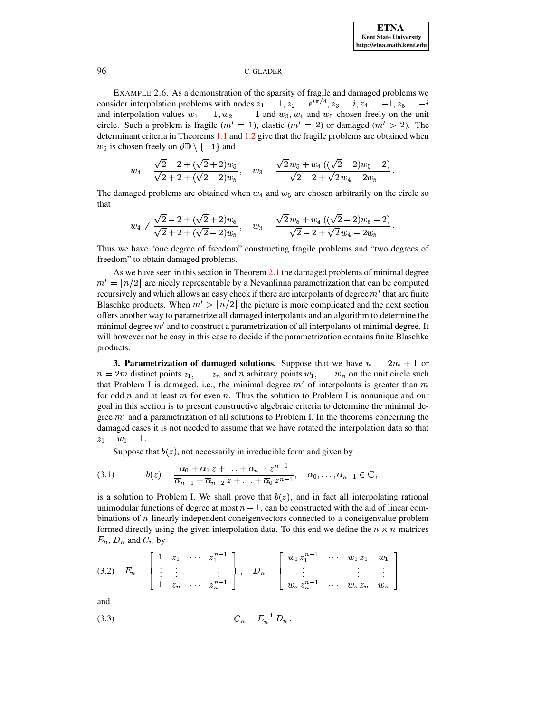EXAMPLE 2.6. As a demonstration of the sparsity of fragile and damaged problems we consider interpolation problems with nodes  $z_1 = 1$ ,  $z_2 = e^{i\pi/4}$ ,  $z_3 = i$ ,  $z_4 = -1$ ,  $z_5 = -i$ and interpolation values  $w_1 = 1, w_2 = -1$  and  $w_3, w_4$  and  $w_5$  chosen freely on the unit circle. Such a problem is fragile  $(m' = 1)$ , elastic  $(m' = 2)$  or damaged  $(m' > 2)$ . The determinant criteria in Theorems 1.1 and 1.2 give that the fragile problems are obtained when  $w_5$  is chosen freely on  $\partial \mathbb{D} \setminus \{-1\}$  and

$$
w_4 = \frac{\sqrt{2} - 2 + (\sqrt{2} + 2)w_5}{\sqrt{2} + 2 + (\sqrt{2} - 2)w_5}, \quad w_3 = \frac{\sqrt{2}w_5 + w_4 ((\sqrt{2} - 2)w_5 - 2)}{\sqrt{2} - 2 + \sqrt{2}w_4 - 2w_5}.
$$

The damaged problems are obtained when  $w_4$  and  $w_5$  are chosen arbitrarily on the circle so that

$$
w_4 \neq \frac{\sqrt{2}-2 + (\sqrt{2}+2)w_5}{\sqrt{2}+2 + (\sqrt{2}-2)w_5}, \quad w_3 = \frac{\sqrt{2}w_5 + w_4 ((\sqrt{2}-2)w_5 - 2)}{\sqrt{2}-2 + \sqrt{2}w_4 - 2w_5}.
$$

Thus we have "one degree of freedom" constructing fragile problems and "two degrees of freedom" to obtain damaged problems.

As we have seen in this section in Theorem  $2.1$  the damaged problems of minimal degree  $m' = |n/2|$  are nicely representable by a Nevanlinna parametrization that can be computed recursively and which allows an easy check if there are interpolants of degree  $m'$  that are finite Blaschke products. When  $m' > |n/2|$  the picture is more complicated and the next section offers another way to parametrize all damaged interpolants and an algorithm to determine the minimal degree  $m'$  and to construct a parametrization of all interpolants of minimal degree. It will however not be easy in this case to decide if the parametrization contains finite Blaschke products.

<span id="page-8-0"></span>**3. Parametrization of damaged solutions.** Suppose that we have  $n = 2m + 1$  or  $n = 2m$  distinct points  $z_1, \ldots, z_n$  and n arbitrary points  $w_1, \ldots, w_n$  on the unit circle such that Problem I is damaged, i.e., the minimal degree  $m'$  of interpolants is greater than m for odd  $n$  and at least  $m$  for even  $n$ . Thus the solution to Problem I is nonunique and our goal in this section is to present constructive algebraic criteria to determine the minimal degree  $m'$  and a parametrization of all solutions to Problem I. In the theorems concerning the damaged cases it is not needed to assume that we have rotated the interpolation data so that  $z_1 = w_1 = 1.$ 

Suppose that  $b(z)$ , not necessarily in irreducible form and given by

<span id="page-8-3"></span>
$$
(3.1) \t b(z) = \frac{\alpha_0 + \alpha_1 z + \ldots + \alpha_{n-1} z^{n-1}}{\overline{\alpha}_{n-1} + \overline{\alpha}_{n-2} z + \ldots + \overline{\alpha}_0 z^{n-1}}, \quad \alpha_0, \ldots, \alpha_{n-1} \in \mathbb{C},
$$

is a solution to Problem I. We shall prove that  $b(z)$ , and in fact all interpolating rational unimodular functions of degree at most  $n-1$ , can be constructed with the aid of linear combinations of  $n$  linearly independent coneigenvectors connected to a coneigenvalue problem formed directly using the given interpolation data. To this end we define the  $n \times n$  matrices  $E_n$ ,  $D_n$  and  $C_n$  by

<span id="page-8-1"></span>
$$
(3.2) \quad E_n = \begin{bmatrix} 1 & z_1 & \cdots & z_1^{n-1} \\ \vdots & \vdots & & \vdots \\ 1 & z_n & \cdots & z_n^{n-1} \end{bmatrix}, \quad D_n = \begin{bmatrix} w_1 \, z_1^{n-1} & \cdots & w_1 \, z_1 & w_1 \\ \vdots & & \vdots & \vdots \\ w_n \, z_n^{n-1} & \cdots & w_n \, z_n & w_n \end{bmatrix}
$$

and

<span id="page-8-2"></span>
$$
(3.3) \tC_n = E_n^{-1} D_n
$$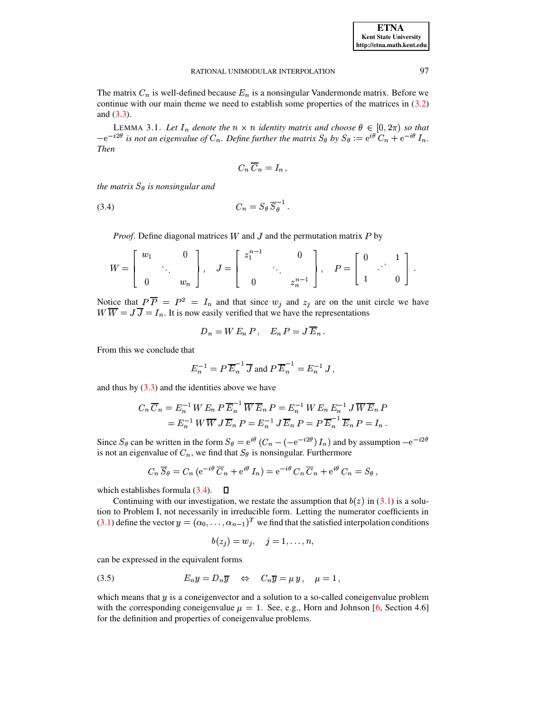The matrix  $C_n$  is well-defined because  $E_n$  is a nonsingular Vandermonde matrix. Before we continue with our main theme we need to establish some properties of the matrices in  $(3.2)$ and  $(3.3)$ .

<span id="page-9-1"></span>LEMMA 3.1. Let  $I_n$  denote the  $n \times n$  identity matrix and choose  $\theta \in [0, 2\pi)$  so that  $-e^{-i2\theta}$  is not an eigenvalue of  $C_n$ . Define further the matrix  $S_\theta$  by  $S_\theta := e^{i\theta} C_n + e^{-i\theta} I_n$ . **Then** 

$$
C_n \overline{C}_n = I_n ,
$$

the matrix  $S_{\theta}$  is nonsingular and

$$
(3.4) \tC_n = S_\theta \, \overline{S_\theta}^{-1} \, .
$$

<span id="page-9-0"></span>*Proof.* Define diagonal matrices  $W$  and  $J$  and the permutation matrix  $P$  by

$$
W = \begin{bmatrix} w_1 & 0 \\ 0 & \cdots & w_n \end{bmatrix}, \quad J = \begin{bmatrix} z_1^{n-1} & 0 \\ 0 & \cdots & z_n^{n-1} \end{bmatrix}, \quad P = \begin{bmatrix} 0 & 1 \\ 1 & 0 \end{bmatrix}.
$$

Notice that  $P\overline{P} = P^2 = I_n$  and that since  $w_j$  and  $z_j$  are on the unit circle we have  $W \overline{W} = J \overline{J} = I_n$ . It is now easily verified that we have the representations

$$
D_n = W E_n P, \quad E_n P = J \overline{E}_n.
$$

From this we conclude that

$$
E_n^{-1} = P \overline{E}_n^{-1} \overline{J}
$$
 and 
$$
P \overline{E}_n^{-1} = E_n^{-1} J
$$
,

and thus by  $(3.3)$  and the identities above we have

$$
C_n \overline{C}_n = E_n^{-1} W E_n P \overline{E}_n^{-1} \overline{W} \overline{E}_n P = E_n^{-1} W E_n E_n^{-1} J \overline{W} \overline{E}_n P
$$
  
= 
$$
E_n^{-1} W \overline{W} J \overline{E}_n P = E_n^{-1} J \overline{E}_n P = P \overline{E}_n^{-1} \overline{E}_n P = I_n.
$$

Since  $S_{\theta}$  can be written in the form  $S_{\theta} = e^{i\theta} (C_n - (-e^{-i2\theta}) I_n)$  and by assumption  $-e^{-i2\theta}$ is not an eigenvalue of  $C_n$ , we find that  $S_\theta$  is nonsingular. Furthermore

$$
C_n \overline{S}_{\theta} = C_n (e^{-i\theta} \overline{C}_n + e^{i\theta} I_n) = e^{-i\theta} C_n \overline{C}_n + e^{i\theta} C_n = S_{\theta},
$$

which establishes formula  $(3.4)$ .  $\Box$ 

Continuing with our investigation, we restate the assumption that  $b(z)$  in (3.1) is a solution to Problem I, not necessarily in irreducible form. Letting the numerator coefficients in (3.1) define the vector  $y = (\alpha_0, \dots, \alpha_{n-1})^T$  we find that the satisfied interpolation conditions

$$
b(z_j) = w_j, \quad j = 1, \ldots, n,
$$

can be expressed in the equivalent forms

<span id="page-9-2"></span>
$$
(3.5) \t E_n y = D_n \overline{y} \Leftrightarrow C_n \overline{y} = \mu y, \quad \mu = 1,
$$

which means that  $y$  is a coneigenvector and a solution to a so-called coneigenvalue problem with the corresponding coneigenvalue  $\mu = 1$ . See, e.g., Horn and Johnson [6, Section 4.6] for the definition and properties of coneigenvalue problems.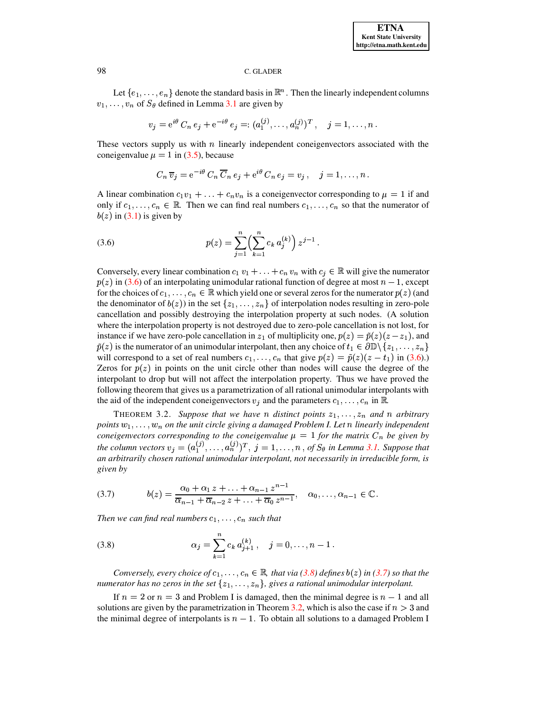Let  $\{e_1, \ldots, e_n\}$  denote the standard basis in  $\mathbb{R}^n$ . Then the linearly independent columns  $v_1, \ldots, v_n$  of  $S_\theta$  defined in Lemma 3.1 are given by

$$
v_j = e^{i\theta} C_n e_j + e^{-i\theta} e_j =: (a_1^{(j)}, \dots, a_n^{(j)})^T, \quad j = 1, \dots, n
$$

These vectors supply us with  $n$  linearly independent coneigenvectors associated with the coneigenvalue  $\mu = 1$  in (3.5), because

$$
C_n \,\overline{v}_j = e^{-i\theta} \, C_n \, \overline{C}_n \, e_j + e^{i\theta} \, C_n \, e_j = v_j \,, \quad j = 1, \dots, n
$$

A linear combination  $c_1v_1 + \ldots + c_nv_n$  is a coneigenvector corresponding to  $\mu = 1$  if and only if  $c_1, \ldots, c_n \in \mathbb{R}$ . Then we can find real numbers  $c_1, \ldots, c_n$  so that the numerator of  $b(z)$  in (3.1) is given by

<span id="page-10-0"></span>(3.6) 
$$
p(z) = \sum_{j=1}^{n} \left(\sum_{k=1}^{n} c_k a_j^{(k)}\right) z^{j-1}
$$

Conversely, every linear combination  $c_1 v_1 + \ldots + c_n v_n$  with  $c_j \in \mathbb{R}$  will give the numerator  $p(z)$  in (3.6) of an interpolating unimodular rational function of degree at most  $n-1$ , except for the choices of  $c_1, \ldots, c_n \in \mathbb{R}$  which yield one or several zeros for the numerator  $p(z)$  (and the denominator of  $b(z)$ ) in the set  $\{z_1, \ldots, z_n\}$  of interpolation nodes resulting in zero-pole cancellation and possibly destroying the interpolation property at such nodes. (A solution where the interpolation property is not destroyed due to zero-pole cancellation is not lost, for instance if we have zero-pole cancellation in  $z_1$  of multiplicity one,  $p(z) = \tilde{p}(z)(z - z_1)$ , and  $\tilde{p}(z)$  is the numerator of an unimodular interpolant, then any choice of  $t_1 \in \partial \mathbb{D} \setminus \{z_1, \ldots, z_n\}$ will correspond to a set of real numbers  $c_1, \ldots, c_n$  that give  $p(z) = \tilde{p}(z)(z - t_1)$  in (3.6). Zeros for  $p(z)$  in points on the unit circle other than nodes will cause the degree of the interpolant to drop but will not affect the interpolation property. Thus we have proved the following theorem that gives us a parametrization of all rational unimodular interpolants with the aid of the independent coneigenvectors  $v_j$  and the parameters  $c_1, \ldots, c_n$  in R.

<span id="page-10-3"></span>THEOREM 3.2. Suppose that we have n distinct points  $z_1, \ldots, z_n$  and n arbitrary points  $w_1, \ldots, w_n$  on the unit circle giving a damaged Problem I. Let n linearly independent coneigenvectors corresponding to the coneigenvalue  $\mu = 1$  for the matrix  $C_n$  be given by the column vectors  $v_j = (a_1^{(j)}, \ldots, a_n^{(j)})^T$ ,  $j = 1, \ldots, n$ , of  $S_\theta$  in Lemma 3.1. Suppose that an arbitrarily chosen rational unimodular interpolant, not necessarily in irreducible form, is given by

<span id="page-10-2"></span>
$$
(3.7) \t b(z) = \frac{\alpha_0 + \alpha_1 z + \ldots + \alpha_{n-1} z^{n-1}}{\overline{\alpha}_{n-1} + \overline{\alpha}_{n-2} z + \ldots + \overline{\alpha}_0 z^{n-1}}, \quad \alpha_0, \ldots, \alpha_{n-1} \in \mathbb{C}.
$$

Then we can find real numbers  $c_1, \ldots, c_n$  such that

<span id="page-10-1"></span>(3.8) 
$$
\alpha_j = \sum_{k=1}^n c_k a_{j+1}^{(k)}, \quad j = 0, \dots, n-1.
$$

Conversely, every choice of  $c_1, \ldots, c_n \in \mathbb{R}$ , that via (3.8) defines  $b(z)$  in (3.7) so that the numerator has no zeros in the set  $\{z_1, \ldots, z_n\}$ , gives a rational unimodular interpolant.

If  $n = 2$  or  $n = 3$  and Problem I is damaged, then the minimal degree is  $n - 1$  and all solutions are given by the parametrization in Theorem 3.2, which is also the case if  $n > 3$  and the minimal degree of interpolants is  $n - 1$ . To obtain all solutions to a damaged Problem I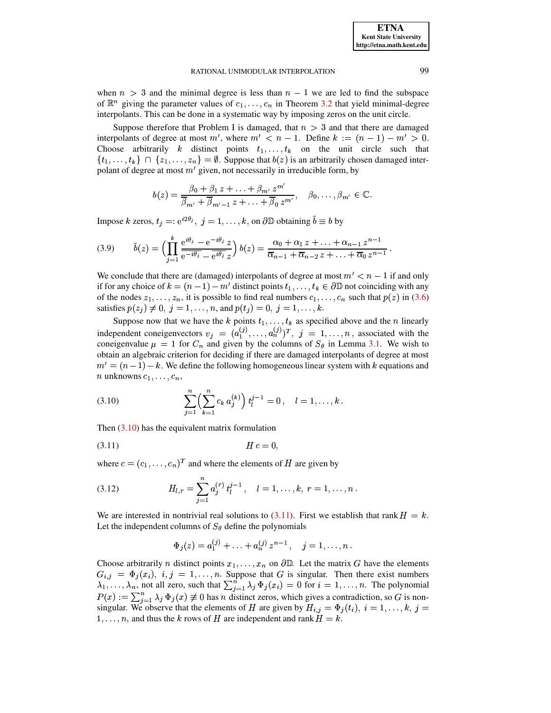when  $n > 3$  and the minimal degree is less than  $n - 1$  we are led to find the subspace of  $\mathbb{R}^n$  giving the parameter values of  $c_1, \ldots, c_n$  in Theorem 3.2 that yield minimal-degree interpolants. This can be done in a systematic way by imposing zeros on the unit circle.

Suppose therefore that Problem I is damaged, that  $n > 3$  and that there are damaged interpolants of degree at most m', where  $m' < n - 1$ . Define  $k := (n - 1) - m' > 0$ . Choose arbitrarily k distinct points  $t_1, \ldots, t_k$  on the unit circle such that  $\{t_1,\ldots,t_k\} \cap \{z_1,\ldots,z_n\} = \emptyset$ . Suppose that  $b(z)$  is an arbitrarily chosen damaged interpolant of degree at most  $m'$  given, not necessarily in irreducible form, by

$$
b(z) = \frac{\beta_0 + \beta_1 z + \ldots + \beta_{m'} z^{m'}}{\overline{\beta}_{m'} + \overline{\beta}_{m'-1} z + \ldots + \overline{\beta}_0 z^{m'}}, \quad \beta_0, \ldots, \beta_{m'} \in \mathbb{C}.
$$

Impose k zeros,  $t_j = e^{i2\theta_j}$ ,  $j = 1, ..., k$ , on  $\partial \mathbb{D}$  obtaining  $\tilde{b} \equiv b$  by

<span id="page-11-2"></span>
$$
(3.9) \qquad \tilde{b}(z) = \left(\prod_{j=1}^k \frac{e^{i\theta_j} - e^{-i\theta_j} z}{e^{-i\theta_j} - e^{i\theta_j} z}\right) b(z) = \frac{\alpha_0 + \alpha_1 z + \ldots + \alpha_{n-1} z^{n-1}}{\overline{\alpha}_{n-1} + \overline{\alpha}_{n-2} z + \ldots + \overline{\alpha}_0 z^{n-1}}
$$

We conclude that there are (damaged) interpolants of degree at most  $m' < n - 1$  if and only if for any choice of  $k = (n-1) - m'$  distinct points  $t_1, \ldots, t_k \in \partial \mathbb{D}$  not coinciding with any of the nodes  $z_1, \ldots, z_n$ , it is possible to find real numbers  $c_1, \ldots, c_n$  such that  $p(z)$  in (3.6) satisfies  $p(z_i) \neq 0, j = 1, ..., n$ , and  $p(t_i) = 0, j = 1, ..., k$ .

Suppose now that we have the k points  $t_1, \ldots, t_k$  as specified above and the n linearly independent coneigenvectors  $v_j = (a_1^{(j)}, \ldots, a_n^{(j)})^T$ ,  $j = 1, \ldots, n$ , associated with the coneigenvalue  $\mu = 1$  for  $C_n$  and given by the columns of  $S_\theta$  in Lemma 3.1. We wish to obtain an algebraic criterion for deciding if there are damaged interpolants of degree at most  $m' = (n-1) - k$ . We define the following homogeneous linear system with k equations and *n* unknowns  $c_1, \ldots, c_n$ ,

<span id="page-11-0"></span>(3.10) 
$$
\sum_{j=1}^{n} \left( \sum_{k=1}^{n} c_k a_j^{(k)} \right) t_l^{j-1} = 0, \quad l = 1, \dots, k.
$$

Then  $(3.10)$  has the equivalent matrix formulation

<span id="page-11-1"></span>

where  $c = (c_1, \ldots, c_n)^T$  and where the elements of H are given by

<span id="page-11-3"></span>(3.12) 
$$
H_{l,r} = \sum_{j=1}^{n} a_j^{(r)} t_l^{j-1}, \quad l = 1, \ldots, k, r = 1, \ldots, n.
$$

We are interested in nontrivial real solutions to  $(3.11)$ . First we establish that rank  $H = k$ . Let the independent columns of  $S_{\theta}$  define the polynomials

$$
\Phi_j(z) = a_1^{(j)} + \ldots + a_n^{(j)} z^{n-1}, \quad j = 1, \ldots, n.
$$

Choose arbitrarily *n* distinct points  $x_1, \ldots, x_n$  on  $\partial \mathbb{D}$ . Let the matrix *G* have the elements  $G_{i,j} = \Phi_j(x_i), i,j = 1,...,n$ . Suppose that G is singular. Then there exist numbers  $\lambda_1, \ldots, \lambda_n$ , not all zero, such that  $\sum_{i=1}^n \lambda_i \Phi_j(x_i) = 0$  for  $i = 1, \ldots, n$ . The polynomial  $P(x) := \sum_{i=1}^n \lambda_i \Phi_i(x) \neq 0$  has *n* distinct zeros, which gives a contradiction, so G is nonsingular. We observe that the elements of H are given by  $H_{i,j} = \Phi_j(t_i)$ ,  $i = 1, ..., k$ ,  $j =$  $1, \ldots, n$ , and thus the k rows of H are independent and rank  $H = k$ .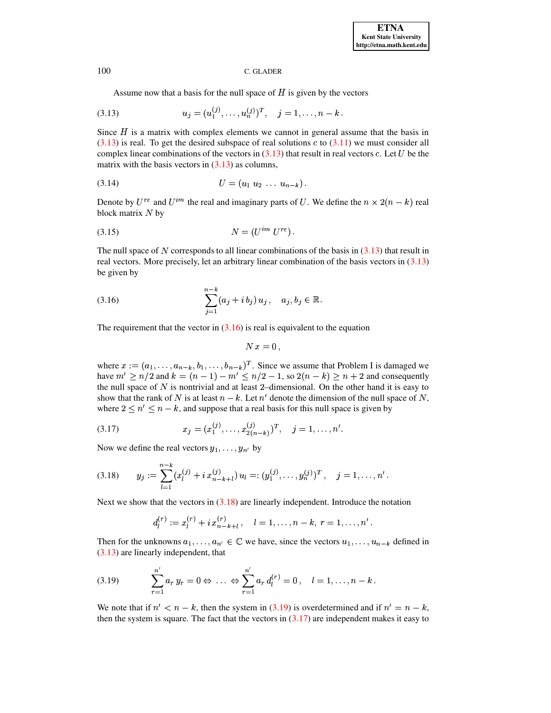<span id="page-12-0"></span>Assume now that a basis for the null space of  $H$  is given by the vectors

(3.13) 
$$
u_j = (u_1^{(j)}, \dots, u_n^{(j)})^T, \quad j = 1, \dots, n-k.
$$

Since  $H$  is a matrix with complex elements we cannot in general assume that the basis in  $(3.13)$  is real. To get the desired subspace of real solutions c to  $(3.11)$  we must consider all complex linear combinations of the vectors in  $(3.13)$  that result in real vectors c. Let U be the matrix with the basis vectors in  $(3.13)$  as columns,

<span id="page-12-5"></span>
$$
(3.14) \t\t\t U = (u_1 \ u_2 \ \dots \ u_{n-k})
$$

Denote by  $U^{re}$  and  $U^{im}$  the real and imaginary parts of U. We define the  $n \times 2(n - k)$  real block matrix  $N$  by

<span id="page-12-6"></span>
$$
(3.15)\qquad \qquad N = (U^{im} \ U^{re})
$$

The null space of N corresponds to all linear combinations of the basis in  $(3.13)$  that result in real vectors. More precisely, let an arbitrary linear combination of the basis vectors in  $(3.13)$ be given by

<span id="page-12-1"></span>(3.16) 
$$
\sum_{j=1}^{n-k} (a_j + i b_j) u_j, \quad a_j, b_j \in \mathbb{R}.
$$

The requirement that the vector in  $(3.16)$  is real is equivalent to the equation

$$
N x = 0 \,,
$$

where  $x := (a_1, \ldots, a_{n-k}, b_1, \ldots, b_{n-k})^T$ . Since we assume that Problem I is damaged we have  $m' \ge n/2$  and  $k = (n-1) - m' \le n/2 - 1$ , so  $2(n-k) \ge n+2$  and consequently the null space of  $N$  is nontrivial and at least 2-dimensional. On the other hand it is easy to show that the rank of N is at least  $n - k$ . Let n' denote the dimension of the null space of N, where  $2 \le n' \le n - k$ , and suppose that a real basis for this null space is given by

<span id="page-12-4"></span>(3.17) 
$$
x_j = (x_1^{(j)}, \ldots, x_{2(n-k)}^{(j)})^T, \quad j = 1, \ldots, n'.
$$

Now we define the real vectors  $y_1, \ldots, y_{n'}$  by

<span id="page-12-2"></span>
$$
(3.18) \qquad y_j := \sum_{l=1}^{n-k} (x_l^{(j)} + i \, x_{n-k+l}^{(j)}) \, u_l =: (y_1^{(j)}, \ldots, y_n^{(j)})^T \, , \quad j = 1, \ldots, n' \, .
$$

Next we show that the vectors in  $(3.18)$  are linearly independent. Introduce the notation

$$
d_l^{(r)} := x_l^{(r)} + i x_{n-k+l}^{(r)}, \quad l = 1, \ldots, n-k, r = 1, \ldots, n'.
$$

Then for the unknowns  $a_1, \ldots, a_{n'} \in \mathbb{C}$  we have, since the vectors  $u_1, \ldots, u_{n-k}$  defined in  $(3.13)$  are linearly independent, that

<span id="page-12-3"></span>(3.19) 
$$
\sum_{r=1}^{n'} a_r y_r = 0 \Leftrightarrow \ldots \Leftrightarrow \sum_{r=1}^{n'} a_r d_l^{(r)} = 0, \quad l = 1, \ldots, n-k.
$$

We note that if  $n' < n - k$ , then the system in (3.19) is overdetermined and if  $n' = n - k$ , then the system is square. The fact that the vectors in  $(3.17)$  are independent makes it easy to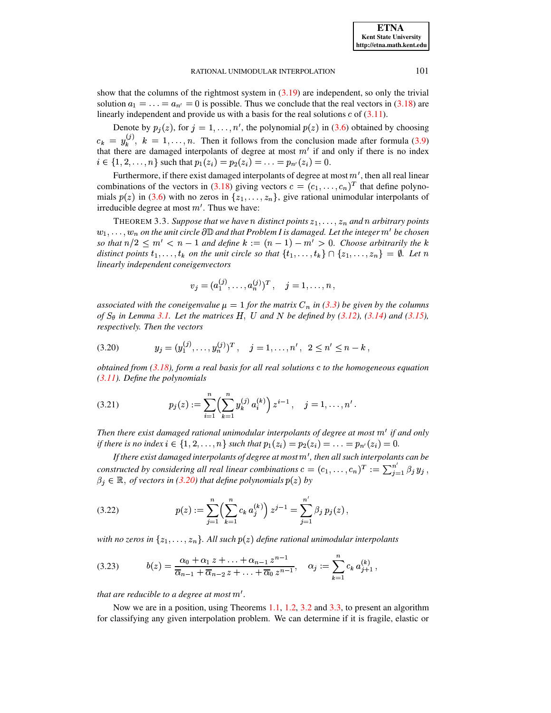show that the columns of the rightmost system in  $(3.19)$  are independent, so only the trivial solution  $a_1 = \ldots = a_{n'} = 0$  is possible. Thus we conclude that the real vectors in (3.18) are linearly independent and provide us with a basis for the real solutions  $c$  of  $(3.11)$ .

Denote by  $p_j(z)$ , for  $j = 1, ..., n'$ , the polynomial  $p(z)$  in (3.6) obtained by choosing  $c_k = y_k^{(j)}$ ,  $k = 1, ..., n$ . Then it follows from the conclusion made after formula (3.9) that there are damaged interpolants of degree at most  $m'$  if and only if there is no index  $i \in \{1, 2, ..., n\}$  such that  $p_1(z_i) = p_2(z_i) = ... = p_{n'}(z_i) = 0$ .

Furthermore, if there exist damaged interpolants of degree at most  $m'$ , then all real linear combinations of the vectors in (3.18) giving vectors  $c = (c_1, \dots, c_n)^T$  that define polynomials  $p(z)$  in (3.6) with no zeros in  $\{z_1, \ldots, z_n\}$ , give rational unimodular interpolants of irreducible degree at most  $m'$ . Thus we have:

<span id="page-13-1"></span>THEOREM 3.3. Suppose that we have n distinct points  $z_1, \ldots, z_n$  and n arbitrary points  $w_1, \ldots, w_n$  on the unit circle  $\partial \mathbb{D}$  and that Problem I is damaged. Let the integer  $m'$  be chosen so that  $n/2 \leq m' < n-1$  and define  $k := (n-1) - m' > 0$ . Choose arbitrarily the k distinct points  $t_1, \ldots, t_k$  on the unit circle so that  $\{t_1, \ldots, t_k\} \cap \{z_1, \ldots, z_n\} = \emptyset$ . Let n linearly independent coneigenvectors

$$
v_j = (a_1^{(j)}, \ldots, a_n^{(j)})^T, \quad j = 1, \ldots, n
$$

associated with the coneigenvalue  $\mu = 1$  for the matrix  $C_n$  in (3.3) be given by the columns of  $S_{\theta}$  in Lemma 3.1. Let the matrices H, U and N be defined by (3.12), (3.14) and (3.15), respectively. Then the vectors

<span id="page-13-0"></span>
$$
(3.20) \t\t y_j = (y_1^{(j)}, \ldots, y_n^{(j)})^T, \quad j = 1, \ldots, n', \ 2 \le n' \le n - k,
$$

obtained from  $(3.18)$ , form a real basis for all real solutions c to the homogeneous equation  $(3.11)$ . Define the polynomials

<span id="page-13-3"></span>(3.21) 
$$
p_j(z) := \sum_{i=1}^n \left(\sum_{k=1}^n y_k^{(j)} a_i^{(k)}\right) z^{i-1}, \quad j=1,\ldots,n'
$$

Then there exist damaged rational unimodular interpolants of degree at most  $m'$  if and only if there is no index  $i \in \{1, 2, ..., n\}$  such that  $p_1(z_i) = p_2(z_i) = ... = p_{n'}(z_i) = 0$ .

If there exist damaged interpolants of degree at most  $m'$ , then all such interpolants can be constructed by considering all real linear combinations  $c = (c_1, \ldots, c_n)^T := \sum_{i=1}^n \beta_i y_i$ ,  $\beta_j \in \mathbb{R}$ , of vectors in (3.20) that define polynomials  $p(z)$  by

<span id="page-13-4"></span>(3.22) 
$$
p(z) := \sum_{j=1}^{n} \left( \sum_{k=1}^{n} c_k a_j^{(k)} \right) z^{j-1} = \sum_{j=1}^{n'} \beta_j p_j(z),
$$

with no zeros in  $\{z_1,\ldots,z_n\}$ . All such  $p(z)$  define rational unimodular interpolants

<span id="page-13-2"></span>
$$
(3.23) \t b(z) = \frac{\alpha_0 + \alpha_1 z + \ldots + \alpha_{n-1} z^{n-1}}{\overline{\alpha}_{n-1} + \overline{\alpha}_{n-2} z + \ldots + \overline{\alpha}_0 z^{n-1}}, \quad \alpha_j := \sum_{k=1}^n c_k a_{j+1}^{(k)},
$$

that are reducible to a degree at most  $m'$ .

Now we are in a position, using Theorems 1.1, 1.2, 3.2 and 3.3, to present an algorithm for classifying any given interpolation problem. We can determine if it is fragile, elastic or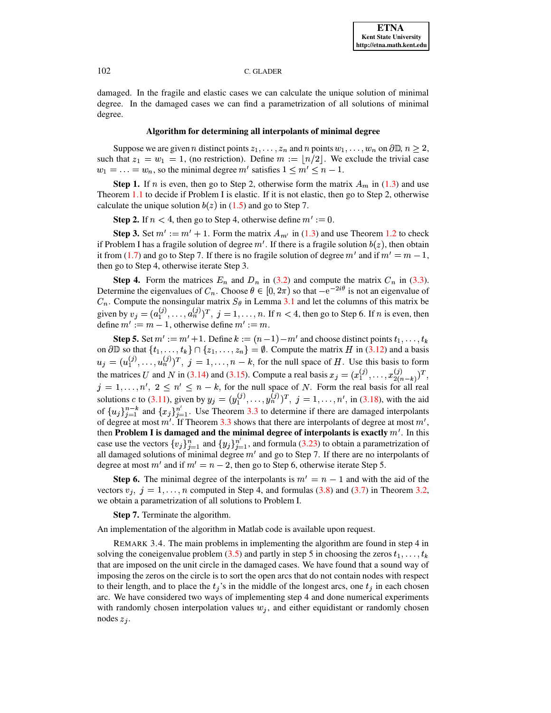damaged. In the fragile and elastic cases we can calculate the unique solution of minimal degree. In the damaged cases we can find a parametrization of all solutions of minimal degree.

# **Algorithm for determining all interpolants of minimal degree**

Suppose we are given *n* distinct points  $z_1, \ldots, z_n$  and *n* points  $w_1, \ldots, w_n$  on  $\partial \mathbb{D}, n \ge 2$ , such that  $z_1 = w_1 = 1$ , (no restriction). Define  $m := \lfloor n/2 \rfloor$ . We exclude the trivial case  $w_1 = \ldots = w_n$ , so the minimal degree m' satisfies  $1 \le m' \le n - 1$ .

**Step 1.** If *n* is even, then go to Step 2, otherwise form the matrix  $A_m$  in [\(1.3\)](#page-1-1) and use Theorem [1.1](#page-2-0) to decide if Problem I is elastic. If it is not elastic, then go to Step 2, otherwise calculate the unique solution  $b(z)$  in [\(1.5\)](#page-2-7) and go to Step 7.

**Step 2.** If  $n < 4$ , then go to Step 4, otherwise define  $m' := 0$ .

**Step 3.** Set  $m' := m' + 1$ . Form the matrix  $A_{m'}$  in [\(1.3\)](#page-1-1) and use Theorem [1.2](#page-2-1) to check if Problem I has a fragile solution of degree  $m'$ . If there is a fragile solution  $b(z)$ , then obtain it from [\(1.7\)](#page-2-5) and go to Step 7. If there is no fragile solution of degree m' and if  $m' = m - 1$ , then go to Step 4, otherwise iterate Step 3.

**Step 4.** Form the matrices  $E_n$  and  $D_n$  in [\(3.2\)](#page-8-1) and compute the matrix  $C_n$  in [\(3.3\)](#page-8-2). Determine the eigenvalues of  $C_n$ . Choose  $\theta \in [0, 2\pi)$  so that  $-e^{-2i\theta}$  is not an eigenvalue of  $C_n$ . Compute the nonsingular matrix  $S_\theta$  in Lemma [3.1](#page-9-1) and let the columns of this matrix be given by  $v_j = (a_1^{(j)}, \ldots, a_n^{(j)})^T$ ,  $j = 1, \ldots, n$ . If  $n < 4$ , then go to Step 6. If *n* is even, then define  $m' := m - 1$ , otherwise define  $m' := m$ .

**Step 5.** Set  $m' := m' + 1$ . Define  $k := (n-1) - m'$  and choose distinct points  $t_1, \ldots, t_k$ on  $\partial\mathbb{D}$  so that  $\{t_1,\ldots,t_k\}\cap\{z_1,\ldots,z_n\}$  $k := (n-1) - m'$  and choose distinct points  $t_1, \ldots, t_k$ <br>  $\ldots, t_k$   $\cap$  { $z_1, \ldots, z_n$ } =  $\emptyset$ . Compute the matrix *H* in [\(3.12\)](#page-11-3) and a basis on  $\partial \mathbb{D}$  so that  $\{t_1, \ldots, t_k\} \cap \{z_1, \ldots, z_n\} = \emptyset$ . Compute the matrix *H* in (3.12) and a basis  $u_j = (u_1^{(j)}, \ldots, u_n^{(j)})^T$ ,  $j = 1, \ldots, n - k$ , for the null space of *H*. Use this basis to form the matrices U and N in [\(3.14\)](#page-12-5) and [\(3.15\)](#page-12-6). Compute a real basis  $x_j = (x_1^{(j)}, \ldots, x_{2(n-k)}^{(j)})^T$ ,  $j = 1, \ldots, n', 2 \leq n' \leq n - k$ , for the null space of N. Form the real basis for all real solutions  $c$  to [\(3.11\)](#page-11-1), given by  $y_j = (y_1^{(j)}, \dots, y_n^{(j)})^T$ ,  $j = 1, \dots, n'$ , in [\(3.18\)](#page-12-2), with the aid of  $\{u_j\}_{i=1}^{n-k}$  and  $\{x_j\}_{i=1}^{n'}$ . Use Theorem [3.3](#page-13-1) to determine if there are damaged interpolants of degree at most  $m'$ . If Theorem [3.3](#page-13-1) shows that there are interpolants of degree at most  $m'$ , then **Problem I** is damaged and the minimal degree of interpolants is exactly  $m'$ . In this case use the vectors  $\{v_j\}_{i=1}^n$  and  $\{y_j\}_{i=1}^{n'}$ , and formula [\(3.23\)](#page-13-2) to obtain a parametrization of all damaged solutions of minimal degree  $m'$  and go to Step 7. If there are no interpolants of degree at most m' and if  $m' = n - 2$ , then go to Step 6, otherwise iterate Step 5.

**Step 6.** The minimal degree of the interpolants is  $m' = n - 1$  and with the aid of the vectors  $v_j$ ,  $j = 1, ..., n$  computed in Step 4, and formulas [\(3.8\)](#page-10-1) and [\(3.7\)](#page-10-2) in Theorem [3.2,](#page-10-3) we obtain a parametrization of all solutions to Problem I.

**Step 7.** Terminate the algorithm.

An implementation of the algorithm in Matlab code is available upon request.

REMARK 3.4. The main problems in implementing the algorithm are found in step 4 in solving the coneigenvalue problem [\(3.5\)](#page-9-2) and partly in step 5 in choosing the zeros  $t_1, \ldots, t_k$ that are imposed on the unit circle in the damaged cases. We have found that a sound way of imposing the zeros on the circle is to sort the open arcs that do not contain nodes with respect to their length, and to place the  $t_j$ 's in the middle of the longest arcs, one  $t_j$  in each chosen arc. We have considered two ways of implementing step 4 and done numerical experiments with randomly chosen interpolation values  $w_j$ , and either equidistant or randomly chosen nodes  $z_i$ .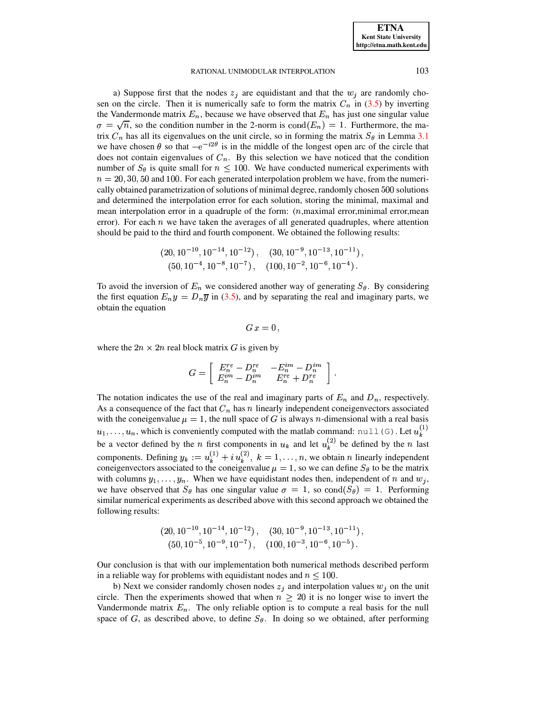a) Suppose first that the nodes  $z_i$  are equidistant and that the  $w_i$  are randomly chosen on the circle. Then it is numerically safe to form the matrix  $C_n$  in [\(3.5\)](#page-9-2) by inverting the Vandermonde matrix  $E_n$ , because we have observed that  $E_n$  has just one singular value  $\sigma = \sqrt{n}$ , so the condition number in the 2-norm is  $\text{cond}(E_n) = 1$ . Furthermore, the matrix  $C_n$  has all its eigenvalues on the unit circle, so in forming the matrix  $S_\theta$  in Lemma [3.1](#page-9-1) we have chosen  $\theta$  so that  $-e^{-i2\theta}$  is in the middle of the longest open arc of the circle that does not contain eigenvalues of  $C_n$ . By this selection we have noticed that the condition number of  $S_\theta$  is quite small for  $n \leq 100$ . We have conducted numerical experiments with  $n = 20, 30, 50$  and 100. For each generated interpolation problem we have, from the numerically obtained parametrization of solutions of minimal degree, randomly chosen 500 solutions and determined the interpolation error for each solution, storing the minimal, maximal and mean interpolation error in a quadruple of the form:  $(n, \text{maximal error}, \text{minimal error}, \text{mean})$ error). For each  $n$  we have taken the averages of all generated quadruples, where attention should be paid to the third and fourth component. We obtained the following results:

$$
(20, 10^{-10}, 10^{-14}, 10^{-12}),
$$
  $(30, 10^{-9}, 10^{-13}, 10^{-11}),$   
 $(50, 10^{-4}, 10^{-8}, 10^{-7}),$   $(100, 10^{-2}, 10^{-6}, 10^{-4}).$ 

To avoid the inversion of  $E_n$  we considered another way of generating  $S_\theta$ . By considering the first equation  $E_n y = D_n \overline{y}$  in [\(3.5\)](#page-9-2), and by separating the real and imaginary parts, we obtain the equation

$$
G\,x=0\,,
$$

where the  $2n \times 2n$  real block matrix G is given by

$$
G=\left[\begin{array}{cc} E_n^{re}-D_n^{re} & -E_n^{im}-D_n^{im}\\ E_n^{im}-D_n^{im} & E_n^{re}+D_n^{re} \end{array}\right]\,.
$$

The notation indicates the use of the real and imaginary parts of  $E_n$  and  $D_n$ , respectively. As a consequence of the fact that  $C_n$  has n linearly independent coneigenvectors associated with the coneigenvalue  $\mu = 1$ , the null space of G is always *n*-dimensional with a real basis  $u_1, \ldots, u_n$ , which is conveniently computed with the matlab command: null (G). Let  $u_k^{(1)}$ be a vector defined by the *n* first components in  $u_k$  and let  $u_k^{(2)}$  be defined by the *n* last components. Defining  $y_k := u_k^{(1)} + i u_k^{(2)}$ ,  $k = 1, \ldots, n$ , we obtain *n* linearly independent coneigenvectors associated to the coneigenvalue  $\mu = 1$ , so we can define  $S_{\theta}$  to be the matrix with columns  $y_1, \ldots, y_n$ . When we have equidistant nodes then, independent of n and  $w_j$ , we have observed that  $S_\theta$  has one singular value  $\sigma = 1$ , so  $\text{cond}(S_\theta) = 1$ . Performing similar numerical experiments as described above with this second approach we obtained the following results:

$$
(20, 10^{-10}, 10^{-14}, 10^{-12}),
$$
  $(30, 10^{-9}, 10^{-13}, 10^{-11}),$   
 $(50, 10^{-5}, 10^{-9}, 10^{-7}),$   $(100, 10^{-3}, 10^{-6}, 10^{-5}),$ 

Our conclusion is that with our implementation both numerical methods described perform in a reliable way for problems with equidistant nodes and  $n \leq 100$ .

b) Next we consider randomly chosen nodes  $z_j$  and interpolation values  $w_j$  on the unit circle. Then the experiments showed that when  $n \geq 20$  it is no longer wise to invert the Vandermonde matrix  $E_n$ . The only reliable option is to compute a real basis for the null space of G, as described above, to define  $S_{\theta}$ . In doing so we obtained, after performing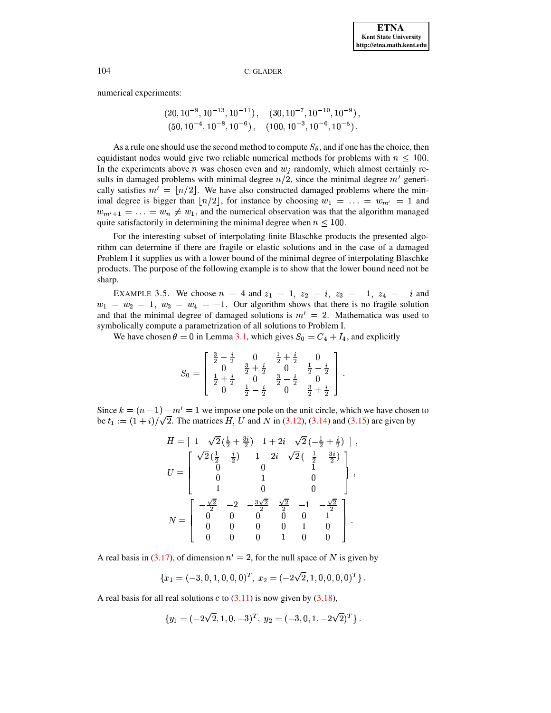numerical experiments:

$$
(20, 10^{-9}, 10^{-13}, 10^{-11}),
$$
  $(30, 10^{-7}, 10^{-10}, 10^{-9}),$   
 $(50, 10^{-4}, 10^{-8}, 10^{-6}),$   $(100, 10^{-3}, 10^{-6}, 10^{-5}).$ 

As a rule one should use the second method to compute  $S_{\theta}$ , and if one has the choice, then equidistant nodes would give two reliable numerical methods for problems with  $n < 100$ . In the experiments above  $n$  was chosen even and  $w_i$  randomly, which almost certainly results in damaged problems with minimal degree  $n/2$ , since the minimal degree  $m'$  generically satisfies  $m' = |n/2|$ . We have also constructed damaged problems where the minimal degree is bigger than  $|n/2|$ , for instance by choosing  $w_1 = \ldots = w_{m'} = 1$  and  $w_{m'+1} = \ldots = w_n \neq w_1$ , and the numerical observation was that the algorithm managed quite satisfactorily in determining the minimal degree when  $n \leq 100$ .

For the interesting subset of interpolating finite Blaschke products the presented algorithm can determine if there are fragile or elastic solutions and in the case of a damaged Problem I it supplies us with a lower bound of the minimal degree of interpolating Blaschke products. The purpose of the following example is to show that the lower bound need not be sharp.

EXAMPLE 3.5. We choose  $n = 4$  and  $z_1 = 1$ ,  $z_2 = i$ ,  $z_3 = -1$ ,  $z_4 = -i$  and  $w_1 = w_2 = 1$ ,  $w_3 = w_4 = -1$ . Our algorithm shows that there is no fragile solution and that the minimal degree of damaged solutions is  $m' = 2$ . Mathematica was used to symbolically compute a parametrization of all solutions to Problem I.

We have chosen  $\theta = 0$  in Lemma 3.1, which gives  $S_0 = C_4 + I_4$ , and explicitly

$$
S_0 = \left[\begin{array}{cccc} \frac{3}{2} - \frac{i}{2} & 0 & \frac{1}{2} + \frac{i}{2} & 0\\ 0 & \frac{3}{2} + \frac{i}{2} & 0 & \frac{1}{2} - \frac{i}{2}\\ \frac{1}{2} + \frac{i}{2} & 0 & \frac{3}{2} - \frac{i}{2} & 0\\ 0 & \frac{1}{2} - \frac{i}{2} & 0 & \frac{3}{2} + \frac{i}{2} \end{array}\right]
$$

Since  $k = (n - 1) - m' = 1$  we impose one pole on the unit circle, which we have chosen to be  $t_1 := (1 + i)/\sqrt{2}$ . The matrices H, U and N in (3.12), (3.14) and (3.15) are given by

$$
H = \begin{bmatrix} 1 & \sqrt{2} \left( \frac{1}{2} + \frac{3i}{2} \right) & 1 + 2i & \sqrt{2} \left( -\frac{1}{2} + \frac{i}{2} \right) \end{bmatrix},
$$
  
\n
$$
U = \begin{bmatrix} \sqrt{2} \left( \frac{1}{2} - \frac{i}{2} \right) & -1 - 2i & \sqrt{2} \left( -\frac{1}{2} - \frac{3i}{2} \right) \\ 0 & 0 & 1 \\ 0 & 1 & 0 \\ 1 & 0 & 0 \end{bmatrix},
$$
  
\n
$$
N = \begin{bmatrix} -\frac{\sqrt{2}}{2} & -2 & -\frac{3\sqrt{2}}{2} & \frac{\sqrt{2}}{2} & -1 & -\frac{\sqrt{2}}{2} \\ 0 & 0 & 0 & 0 & 1 \\ 0 & 0 & 0 & 1 & 0 \\ 0 & 0 & 0 & 1 & 0 \end{bmatrix}.
$$

A real basis in (3.17), of dimension  $n' = 2$ , for the null space of N is given by

$$
\{x_1 = (-3,0,1,0,0,0)^T, x_2 = (-2\sqrt{2},1,0,0,0,0)^T\}.
$$

A real basis for all real solutions  $c$  to  $(3.11)$  is now given by  $(3.18)$ ,

$$
\{y_1 = (-2\sqrt{2}, 1, 0, -3)^T, y_2 = (-3, 0, 1, -2\sqrt{2})^T\}.
$$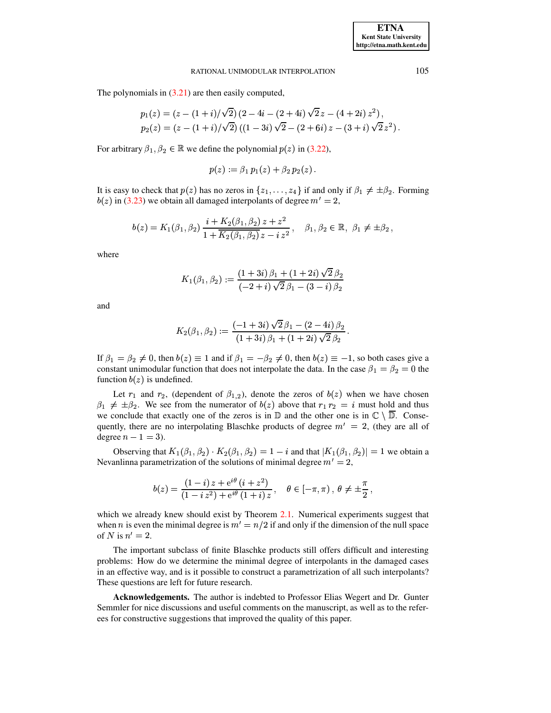The polynomials in  $(3.21)$  are then easily computed,

$$
p_1(z) = (z - (1 + i)/\sqrt{2}) (2 - 4i - (2 + 4i)\sqrt{2} z - (4 + 2i) z^2),
$$
  
\n
$$
p_2(z) = (z - (1 + i)/\sqrt{2}) ((1 - 3i)\sqrt{2} - (2 + 6i) z - (3 + i)\sqrt{2} z^2)
$$

For arbitrary  $\beta_1, \beta_2 \in \mathbb{R}$  we define the polynomial  $p(z)$  in (3.22),

$$
p(z) := \beta_1 \, p_1(z) + \beta_2 \, p_2(z)
$$

It is easy to check that  $p(z)$  has no zeros in  $\{z_1, \ldots, z_4\}$  if and only if  $\beta_1 \neq \pm \beta_2$ . Forming  $b(z)$  in (3.23) we obtain all damaged interpolants of degree  $m' = 2$ ,

$$
b(z) = K_1(\beta_1, \beta_2) \frac{i + K_2(\beta_1, \beta_2) z + z^2}{1 + K_2(\beta_1, \beta_2) z - i z^2}, \quad \beta_1, \beta_2 \in \mathbb{R}, \ \beta_1 \neq \pm \beta_2,
$$

where

$$
K_1(\beta_1, \beta_2) := \frac{(1+3i)\,\beta_1 + (1+2i)\,\sqrt{2}\,\beta_2}{(-2+i)\,\sqrt{2}\,\beta_1 - (3-i)\,\beta_2}
$$

and

$$
K_2(\beta_1, \beta_2) := \frac{(-1 + 3i)\,\sqrt{2}\,\beta_1 - (2 - 4i)\,\beta_2}{(1 + 3i)\,\beta_1 + (1 + 2i)\,\sqrt{2}\,\beta_2}\,.
$$

If  $\beta_1 = \beta_2 \neq 0$ , then  $b(z) \equiv 1$  and if  $\beta_1 = -\beta_2 \neq 0$ , then  $b(z) \equiv -1$ , so both cases give a constant unimodular function that does not interpolate the data. In the case  $\beta_1 = \beta_2 = 0$  the function  $b(z)$  is undefined.

Let  $r_1$  and  $r_2$ , (dependent of  $\beta_{1,2}$ ), denote the zeros of  $b(z)$  when we have chosen  $\beta_1 \neq \pm \beta_2$ . We see from the numerator of  $b(z)$  above that  $r_1 r_2 = i$  must hold and thus we conclude that exactly one of the zeros is in  $\mathbb D$  and the other one is in  $\mathbb C \setminus \overline{\mathbb D}$ . Consequently, there are no interpolating Blaschke products of degree  $m' = 2$ , (they are all of degree  $n - 1 = 3$ ).

Observing that  $K_1(\beta_1, \beta_2) \cdot K_2(\beta_1, \beta_2) = 1 - i$  and that  $|K_1(\beta_1, \beta_2)| = 1$  we obtain a Nevanlinna parametrization of the solutions of minimal degree  $m' = 2$ ,

$$
b(z) = \frac{(1-i) z + e^{i\theta} (i + z^2)}{(1 - i z^2) + e^{i\theta} (1 + i) z}, \quad \theta \in [-\pi, \pi), \ \theta \neq \pm \frac{\pi}{2}
$$

which we already knew should exist by Theorem 2.1. Numerical experiments suggest that when *n* is even the minimal degree is  $m' = n/2$  if and only if the dimension of the null space of N is  $n' = 2$ .

The important subclass of finite Blaschke products still offers difficult and interesting problems: How do we determine the minimal degree of interpolants in the damaged cases in an effective way, and is it possible to construct a parametrization of all such interpolants? These questions are left for future research.

Acknowledgements. The author is indebted to Professor Elias Wegert and Dr. Gunter Semmler for nice discussions and useful comments on the manuscript, as well as to the referees for constructive suggestions that improved the quality of this paper.